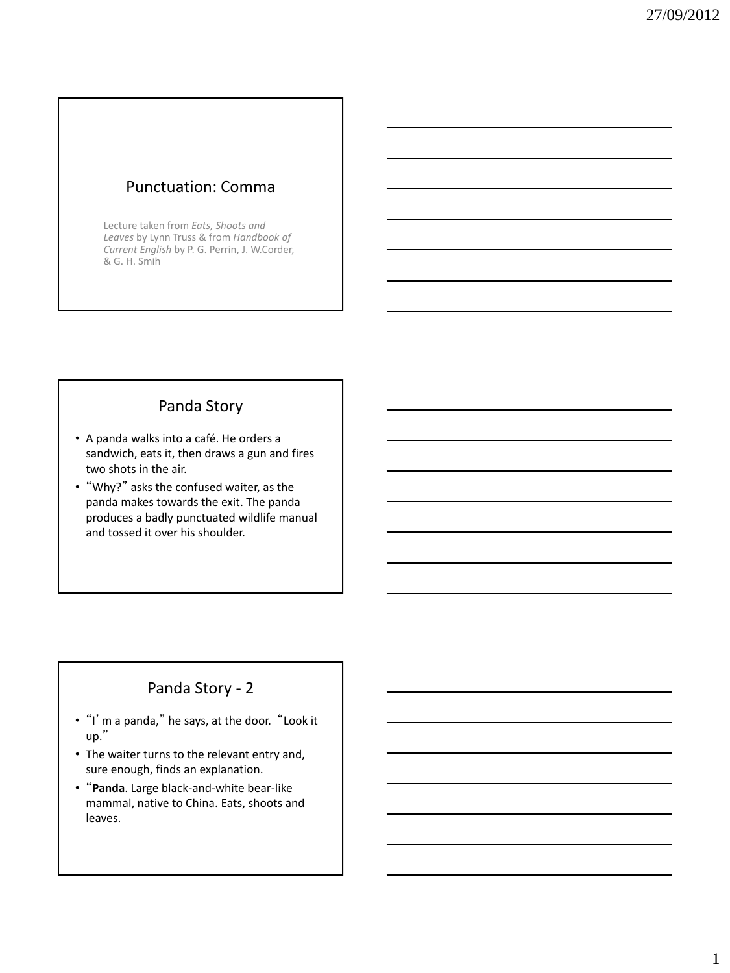## Punctuation: Comma

Lecture taken from *Eats, Shoots and Leaves* by Lynn Truss & from *Handbook of Current English* by P. G. Perrin, J. W.Corder, & G. H. Smih

## Panda Story

- A panda walks into a café. He orders a sandwich, eats it, then draws a gun and fires two shots in the air.
- "Why?" asks the confused waiter, as the panda makes towards the exit. The panda produces a badly punctuated wildlife manual and tossed it over his shoulder.

## Panda Story - 2

- "I'm a panda," he says, at the door. "Look it up."
- The waiter turns to the relevant entry and, sure enough, finds an explanation.
- "**Panda**. Large black-and-white bear-like mammal, native to China. Eats, shoots and leaves.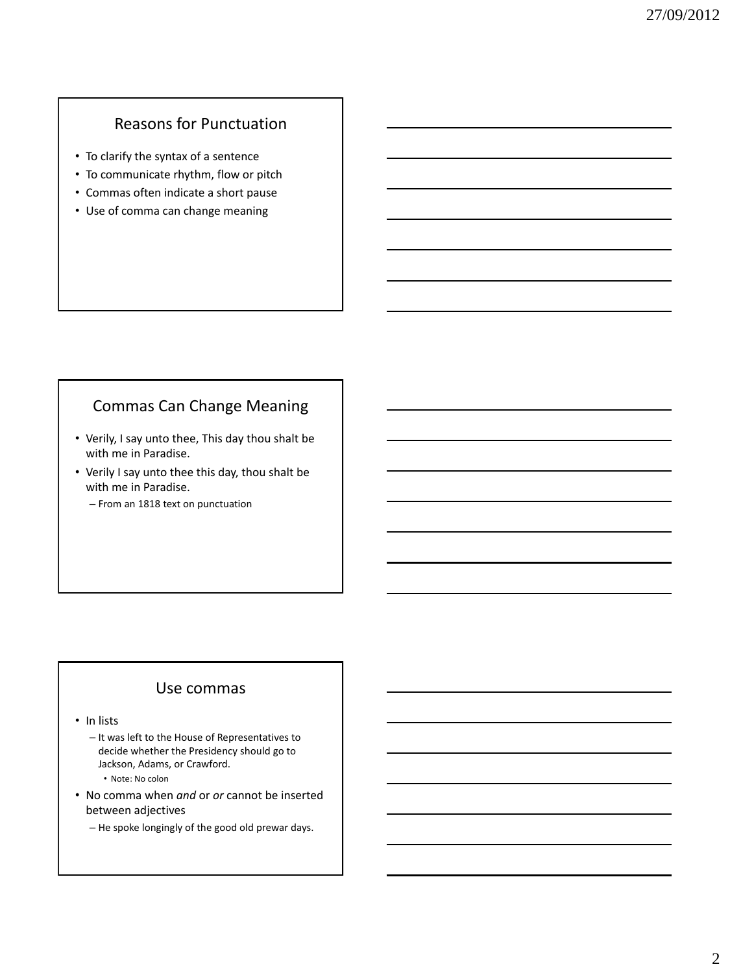# Reasons for Punctuation

- To clarify the syntax of a sentence
- To communicate rhythm, flow or pitch
- Commas often indicate a short pause
- Use of comma can change meaning

## Commas Can Change Meaning

- Verily, I say unto thee, This day thou shalt be with me in Paradise.
- Verily I say unto thee this day, thou shalt be with me in Paradise.
	- From an 1818 text on punctuation

#### Use commas

• In lists

- It was left to the House of Representatives to decide whether the Presidency should go to Jackson, Adams, or Crawford. • Note: No colon
- No comma when *and* or *or* cannot be inserted between adjectives
	- He spoke longingly of the good old prewar days.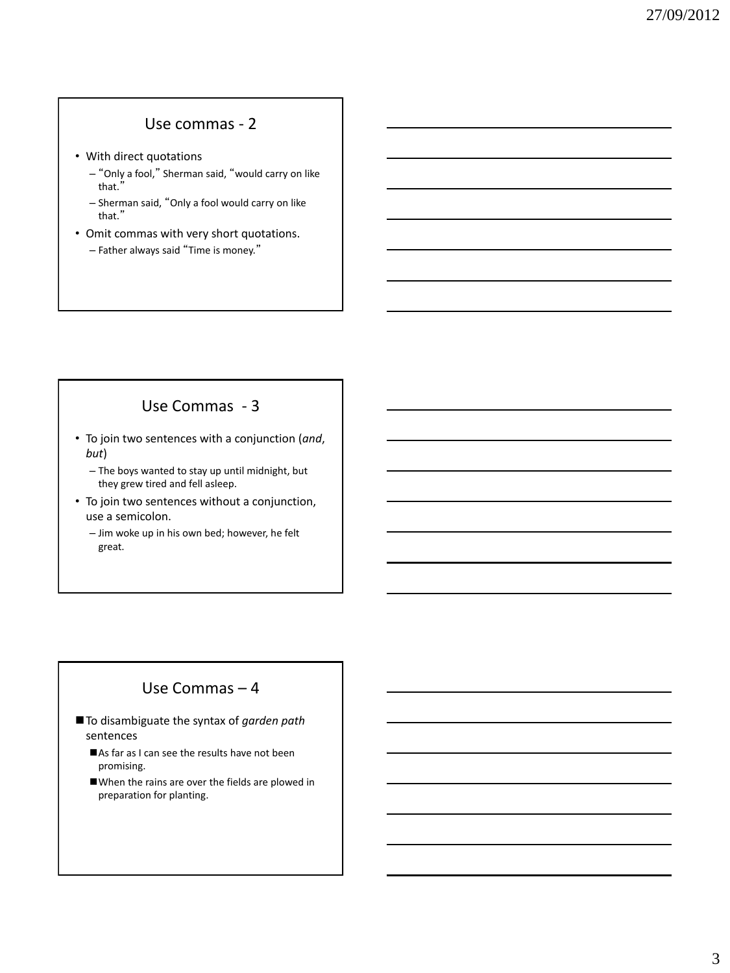#### Use commas - 2

- With direct quotations
	- "Only a fool," Sherman said, "would carry on like that."
	- Sherman said, "Only a fool would carry on like that."
- Omit commas with very short quotations.
	- Father always said "Time is money."

## Use Commas - 3

- To join two sentences with a conjunction (*and*, *but*)
	- The boys wanted to stay up until midnight, but they grew tired and fell asleep.
- To join two sentences without a conjunction, use a semicolon.
	- Jim woke up in his own bed; however, he felt great.

### Use Commas – 4

- To disambiguate the syntax of *garden path* sentences
	- As far as I can see the results have not been promising.
	- When the rains are over the fields are plowed in preparation for planting.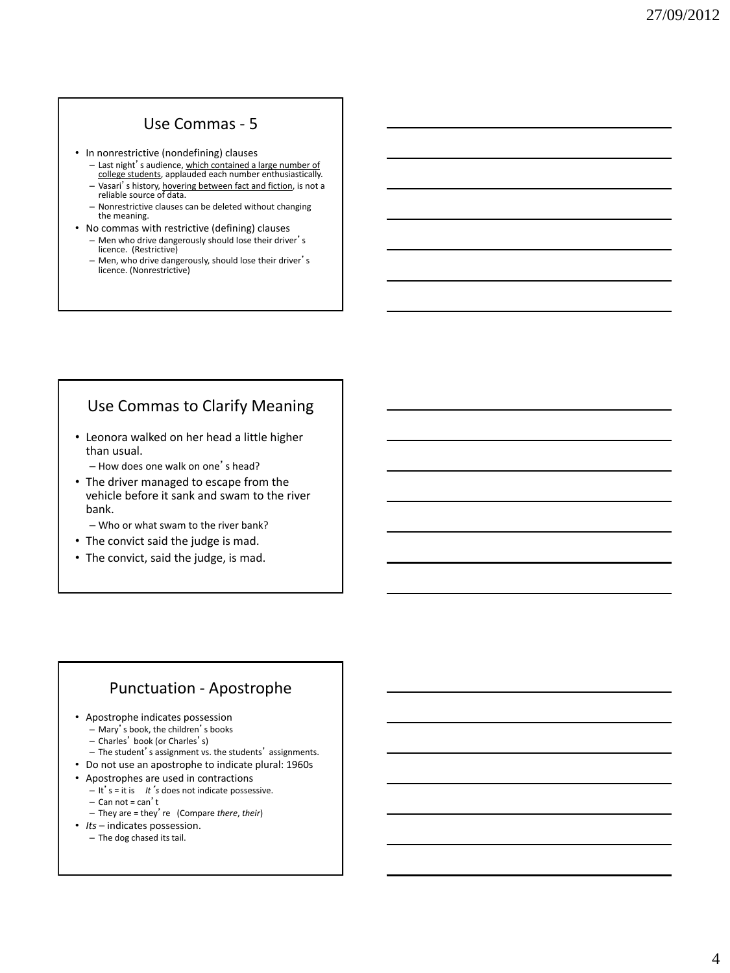### Use Commas - 5

- In nonrestrictive (nondefining) clauses
	- Last night's audience, which contained a large number of college students, applauded each number enthusiastically.
	- Vasari's history, hovering between fact and fiction, is not a reliable source of data. – Nonrestrictive clauses can be deleted without changing
	- the meaning.
- No commas with restrictive (defining) clauses – Men who drive dangerously should lose their driver's licence. (Restrictive)
	- Men, who drive dangerously, should lose their driver's licence. (Nonrestrictive)

## Use Commas to Clarify Meaning

- Leonora walked on her head a little higher than usual.
	- How does one walk on one's head?
- The driver managed to escape from the vehicle before it sank and swam to the river bank.
	- Who or what swam to the river bank?
- The convict said the judge is mad.
- The convict, said the judge, is mad.

#### Punctuation - Apostrophe

- Apostrophe indicates possession
	- Mary's book, the children's books
	- Charles' book (or Charles's)
	- The student's assignment vs. the students' assignments.
- Do not use an apostrophe to indicate plural: 1960s
- Apostrophes are used in contractions
	- It's = it is *It*'*s* does not indicate possessive.
	- $-$  Can not = can't
	- They are = they're (Compare *there*, *their*)
- *Its* indicates possession.
	- The dog chased its tail.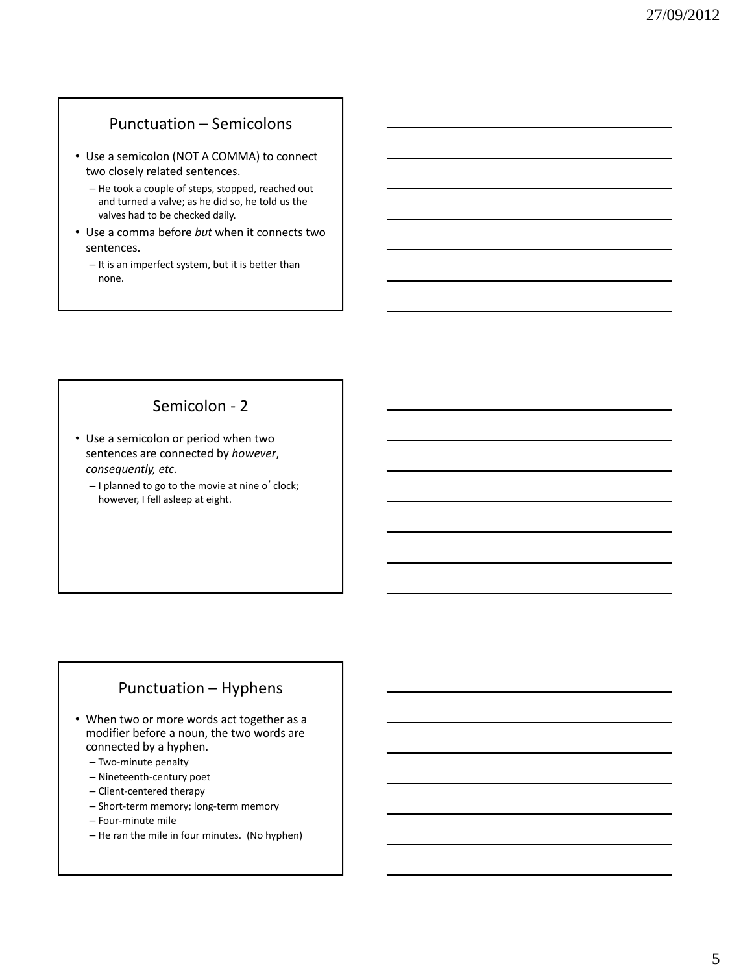#### Punctuation – Semicolons

- Use a semicolon (NOT A COMMA) to connect two closely related sentences.
	- He took a couple of steps, stopped, reached out and turned a valve; as he did so, he told us the valves had to be checked daily.
- Use a comma before *but* when it connects two sentences.
	- It is an imperfect system, but it is better than none.

### Semicolon - 2

- Use a semicolon or period when two sentences are connected by *however*, *consequently, etc.* 
	- I planned to go to the movie at nine o'clock; however, I fell asleep at eight.

## Punctuation – Hyphens

- When two or more words act together as a modifier before a noun, the two words are connected by a hyphen.
	- Two-minute penalty
	- Nineteenth-century poet
	- Client-centered therapy
	- Short-term memory; long-term memory
	- Four-minute mile
	- He ran the mile in four minutes. (No hyphen)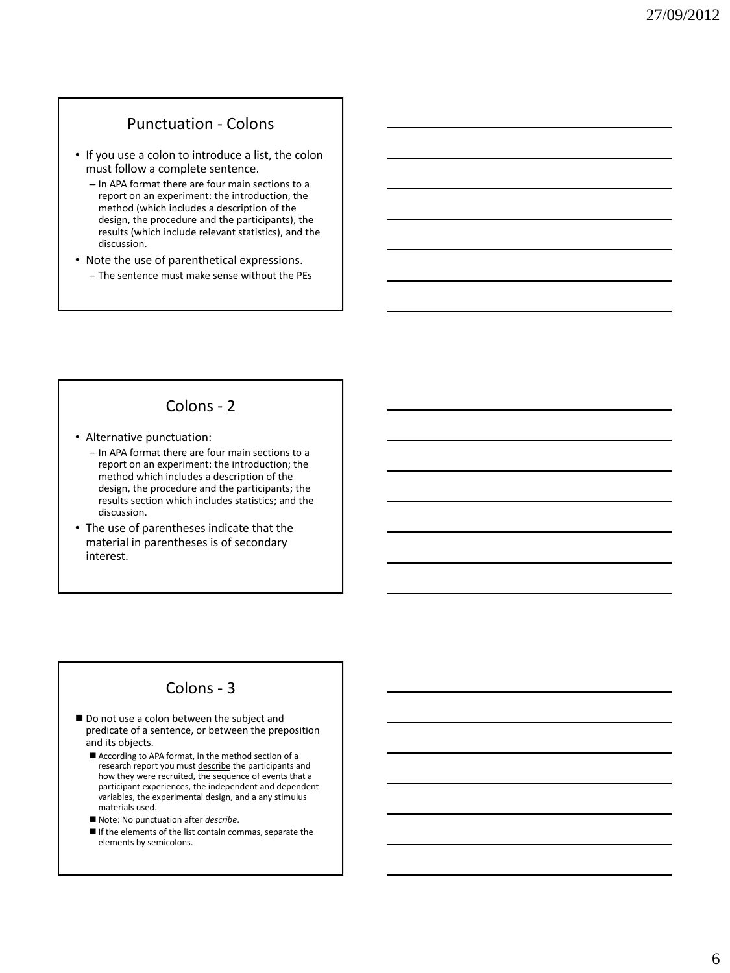#### Punctuation - Colons

- If you use a colon to introduce a list, the colon must follow a complete sentence.
	- In APA format there are four main sections to a report on an experiment: the introduction, the method (which includes a description of the design, the procedure and the participants), the results (which include relevant statistics), and the discussion.
- Note the use of parenthetical expressions. – The sentence must make sense without the PEs

### Colons - 2

- Alternative punctuation:
	- In APA format there are four main sections to a report on an experiment: the introduction; the method which includes a description of the design, the procedure and the participants; the results section which includes statistics; and the discussion.
- The use of parentheses indicate that the material in parentheses is of secondary interest.

#### Colons - 3

- Do not use a colon between the subject and predicate of a sentence, or between the preposition and its objects.
	- According to APA format, in the method section of a research report you must describe the participants and how they were recruited, the sequence of events that a participant experiences, the independent and dependent variables, the experimental design, and a any stimulus materials used.
	- Note: No punctuation after *describe*.
	- $\blacksquare$  If the elements of the list contain commas, separate the elements by semicolons.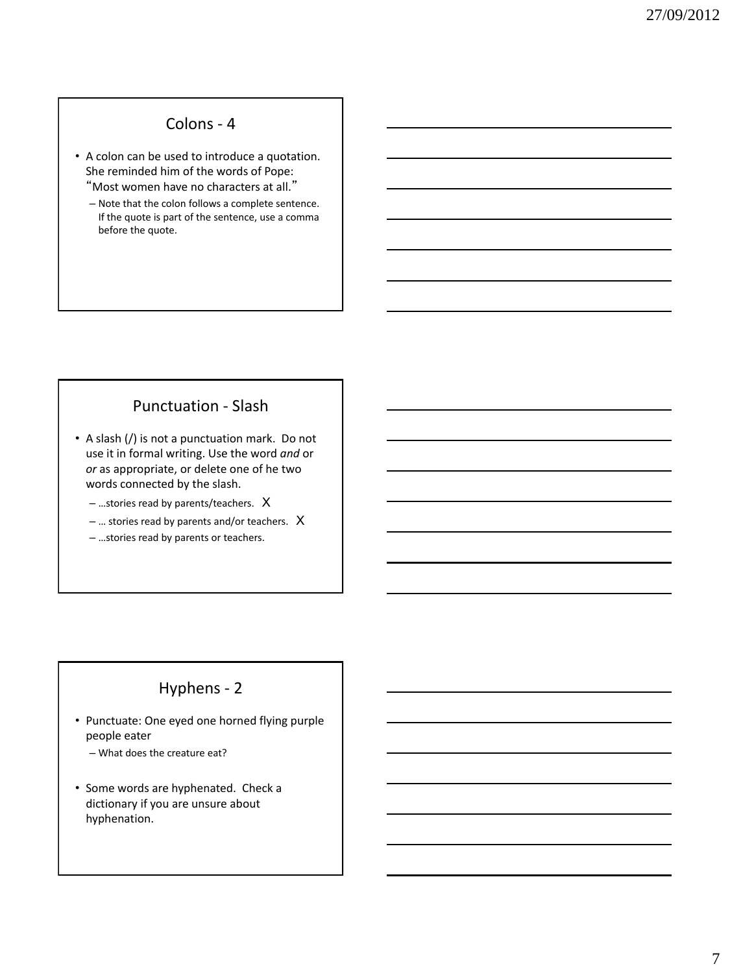### Colons - 4

• A colon can be used to introduce a quotation. She reminded him of the words of Pope: "Most women have no characters at all."

– Note that the colon follows a complete sentence. If the quote is part of the sentence, use a comma before the quote.

### Punctuation - Slash

• A slash (/) is not a punctuation mark. Do not use it in formal writing. Use the word *and* or *or* as appropriate, or delete one of he two words connected by the slash.

– …stories read by parents/teachers. X

– … stories read by parents and/or teachers. X

– …stories read by parents or teachers.

## Hyphens - 2

• Punctuate: One eyed one horned flying purple people eater

– What does the creature eat?

• Some words are hyphenated. Check a dictionary if you are unsure about hyphenation.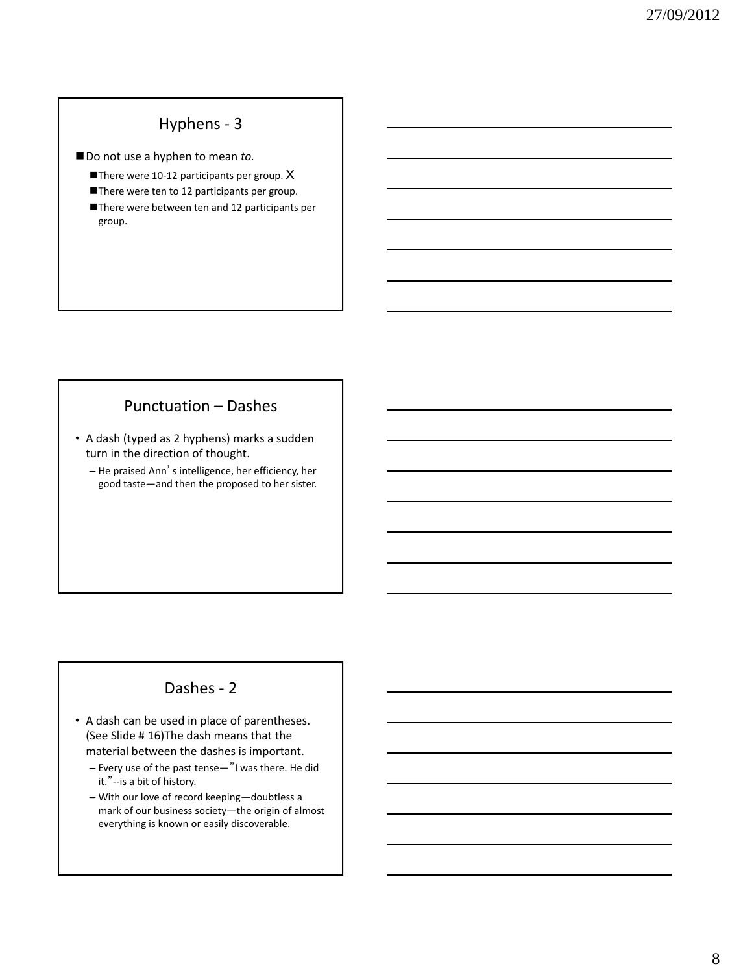# Hyphens - 3

■ Do not use a hyphen to mean *to*.

There were 10-12 participants per group.  $X$ 

There were ten to 12 participants per group.

There were between ten and 12 participants per group.

### Punctuation – Dashes

- A dash (typed as 2 hyphens) marks a sudden turn in the direction of thought.
	- He praised Ann's intelligence, her efficiency, her good taste—and then the proposed to her sister.

# Dashes - 2

- A dash can be used in place of parentheses. (See Slide # 16)The dash means that the material between the dashes is important.
	- Every use of the past tense—"I was there. He did it."--is a bit of history.
	- With our love of record keeping—doubtless a mark of our business society—the origin of almost everything is known or easily discoverable.